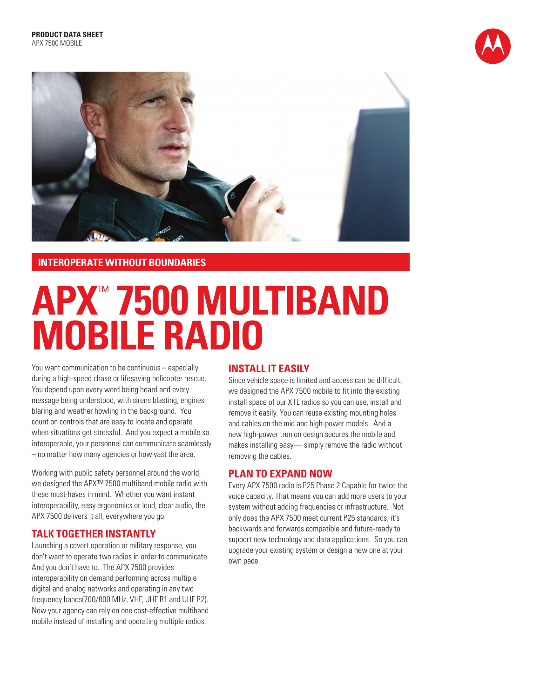



## **INTEROPERATE WITHOUT BOUNDARIES**

# **APX**™ **7500 MULTIBAND MOBILE RADIO**

You want communication to be continuous – especially during a high-speed chase or lifesaving helicopter rescue. You depend upon every word being heard and every message being understood, with sirens blasting, engines blaring and weather howling in the background. You count on controls that are easy to locate and operate when situations get stressful. And you expect a mobile so interoperable, your personnel can communicate seamlessly – no matter how many agencies or how vast the area.

Working with public safety personnel around the world, we designed the APX™ 7500 multiband mobile radio with these must-haves in mind. Whether you want instant interoperability, easy ergonomics or loud, clear audio, the APX 7500 delivers it all, everywhere you go.

## **TALK TOGETHER INSTANTLY**

Launching a covert operation or military response, you don't want to operate two radios in order to communicate. And you don't have to. The APX 7500 provides interoperability on demand performing across multiple digital and analog networks and operating in any two frequency bands(700/800 MHz, VHF, UHF R1 and UHF R2). Now your agency can rely on one cost-effective multiband mobile instead of installing and operating multiple radios.

## **INSTALL IT EASILY**

Since vehicle space is limited and access can be difficult, we designed the APX 7500 mobile to fit into the existing install space of our XTL radios so you can use, install and remove it easily. You can reuse existing mounting holes and cables on the mid and high-power models. And a new high-power trunion design secures the mobile and makes installing easy— simply remove the radio without removing the cables.

## **PLAN TO EXPAND NOW**

Every APX 7500 radio is P25 Phase 2 Capable for twice the voice capacity. That means you can add more users to your system without adding frequencies or infrastructure. Not only does the APX 7500 meet current P25 standards, it's backwards and forwards compatible and future-ready to support new technology and data applications. So you can upgrade your existing system or design a new one at your own pace.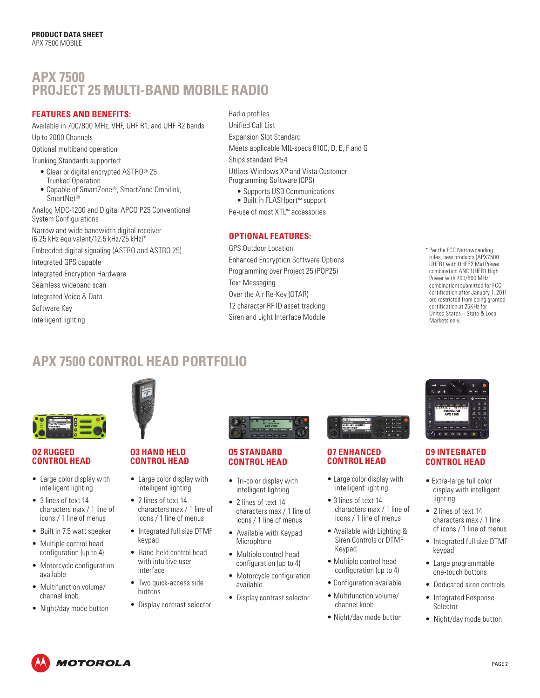# **APX 7500 PROJECT 25 MULTI-BAND MOBILE RADIO**

## **FEATURES AND BENEFITS:**

Available in 700/800 MHz, VHF, UHF R1, and UHF R2 bands Up to 2000 Channels

Optional multiband operation

Trunking Standards supported:

- Clear or digital encrypted ASTRO® 25 Trunked Operation
- Capable of SmartZone®, SmartZone Omnilink, SmartNet®

Analog MDC-1200 and Digital APCO P25 Conventional System Configurations

Narrow and wide bandwidth digital receiver (6.25 kHz equivalent/12.5 kHz/25 kHz)\*

Embedded digital signaling (ASTRO and ASTRO 25)

Integrated GPS capable

Integrated Encryption Hardware

Seamless wideband scan Integrated Voice & Data

Software Key

Intelligent lighting

## Radio profiles

Unified Call List Expansion Slot Standard Meets applicable MIL-specs 810C, D, E, F and G Ships standard IP54 Utlizes Windows XP and Vista Customer

Programming Software (CPS)

• Supports USB Communications

• Built in FLASHport™ support

Re-use of most XTL™ accessories

## **OPTIONAL FEATURES:**

GPS Outdoor Location Enhanced Encryption Software Options Programming over Project 25 (POP25) Text Messaging Over the Air Re-Key (OTAR) 12 character RF ID asset tracking Siren and Light Interface Module

**COMMIT WITH SHELF WITH SWORE** Power with 700/800 MHz rower with 700/000 Mirz<br>combination) submitted for FCC are restricted from being granted • 4 lines: 2 lines text (14 characters), 1 line icons, 1 line soft menu keys certification at 25KHz for • 3 x 6 keypad with up to 24 programmable soft keys • Cellular style user interface and color display United States – State & Local \* Per the FCC Narrowbanding rules, new products (APX7500 UHFR1 with UHFR2 Mid Power certification after January 1, 2011 Markets only.

#### **SPECIFICATION SHEET** APX 7500 **SPECIFICATION SHEET APX 7500 CONTROL HEAD PORTFOLIO**



### **O2 RUGGED CONTROL HEAD**

- Large color display with intelligent lighting
- 3 lines of text 14 characters max / 1 line of icons / 1 line of menus
- Built in 7.5 watt speaker
- Multiple control head configuration (up to 4)
- Motorcycle configuration available
- Multifunction volume/ channel knob
- Night/day mode button



## **O3 HAND HELD CONTROL HEAD**

- Large color display with intelligent lighting
- 2 lines of text 14 characters max / 1 line of icons / 1 line of menus
- Integrated full size DTMF keypad
- Hand-held control head Multi with intuitive user **Example** 65,000 configure interface Error Correction Techniques Golay, BCH, Reed-Solomon codes
- Two quick-access side buttons
- Display contrast selector



## **05 STANDARD CONTROL HEAD**

- Tri-color display with intelligent lighting  $\frac{1}{10}$
- $\bullet$  2 lines of text 14 characters max / 1 line of icons / 1 line of menus
- Available with Keypad Microphone
	- Multiple control head configuration (up to 4)
- Motorcycle configuration available
- and Power Radio Transcelector **Cradio Transcelector** and Remote Mounted Selector



## • Multiple control head configuration to fully control a single radio with up to 4 different wired locations • Motorcycle configuration available **O7 ENHANCED CONTROL HEAD**

- Large color display with intelligent lighting
- 3 lines of text 14 characters max / 1 line of icons / 1 line of menus
- Data Access Control Slotted CSMA: Utilizes infrastructure-sourced data status bits embedded in both voice and Keypad • Available with Lighting & Siren Controls or DTMF
	- Multiple control head configuration (up to 4)
	- Configuration available
	- Multifunction volume/ channel knob
	- Night/day mode button



## **O9 INTEGRATED SIGNALLING (ASTRO MODE) CONTROL HEAD**

- Extra-large full color display with intelligent lighting User Group Addresses 65,000 Conventional / 4,094 Trunking  $\mathcal{L}$
- $\bullet$  2 lines of text 14 characters max / 1 line of icons / 1 line of menus
- Integrated full size DTMF keypad  $\cdots$
- Large programmable one-touch buttons
- Dedicated siren controls
- Integrated Response Selector **Middle** Mid Power Radio Transceiver and Control Head And Control Head And Control Head And Control Head And Control Head And Control Head And Control Head And Control Head And Control Head And Control Head And Co
- Night/day mode button

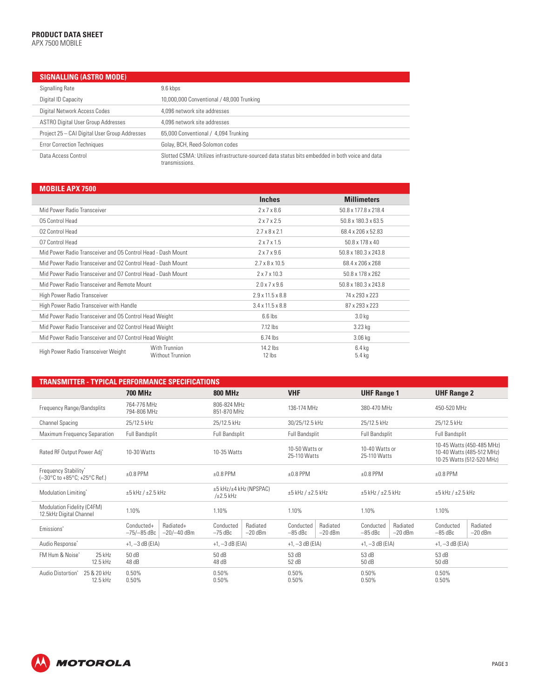#### **PRODUCT DATA SHEET** APX 7500 MOBILE

| <b>SIGNALLING (ASTRO MODE)</b>                |                                                                                                                  |
|-----------------------------------------------|------------------------------------------------------------------------------------------------------------------|
| Signalling Rate                               | 9.6 kbps                                                                                                         |
| Digital ID Capacity                           | 10,000,000 Conventional / 48,000 Trunking                                                                        |
| Digital Network Access Codes                  | 4.096 network site addresses                                                                                     |
| <b>ASTRO Digital User Group Addresses</b>     | 4.096 network site addresses                                                                                     |
| Project 25 - CAI Digital User Group Addresses | 65,000 Conventional / 4,094 Trunking                                                                             |
| <b>Error Correction Techniques</b>            | Golay, BCH, Reed-Solomon codes                                                                                   |
| Data Access Control                           | Slotted CSMA: Utilizes infrastructure-sourced data status bits embedded in both voice and data<br>transmissions. |

| <b>MOBILE APX 7500</b>                                       |                                   |                              |                      |  |
|--------------------------------------------------------------|-----------------------------------|------------------------------|----------------------|--|
|                                                              |                                   | <b>Inches</b>                | <b>Millimeters</b>   |  |
| Mid Power Radio Transceiver                                  |                                   | 2x7x8.6                      | 50.8 x 177.8 x 218.4 |  |
| 05 Control Head                                              |                                   | 2x7x2.5                      | 50.8 x 180.3 x 63.5  |  |
| 02 Control Head                                              |                                   | $2.7 \times 8 \times 2.1$    | 68.4 x 206 x 52.83   |  |
| 07 Control Head                                              |                                   | 2x7x15                       | 50.8 x 178 x 40      |  |
| Mid Power Radio Transceiver and 05 Control Head - Dash Mount |                                   | $2 \times 7 \times 9.6$      | 50.8 x 180.3 x 243.8 |  |
| Mid Power Radio Transceiver and 02 Control Head - Dash Mount |                                   | $2.7 \times 8 \times 10.5$   | 68.4 x 206 x 268     |  |
| Mid Power Radio Transceiver and 07 Control Head - Dash Mount |                                   | $2 \times 7 \times 10.3$     | 50.8 x 178 x 262     |  |
| Mid Power Radio Transceiver and Remote Mount                 |                                   | $2.0 \times 7 \times 9.6$    | 50.8 x 180.3 x 243.8 |  |
| High Power Radio Transceiver                                 |                                   | $2.9 \times 11.5 \times 8.8$ | 74 x 293 x 223       |  |
| High Power Radio Transceiver with Handle                     |                                   | $3.4 \times 11.5 \times 8.8$ | 87 x 293 x 223       |  |
| Mid Power Radio Transceiver and 05 Control Head Weight       |                                   | $6.6$ lbs                    | 3.0 <sub>kq</sub>    |  |
| Mid Power Radio Transceiver and O2 Control Head Weight       |                                   | $7.12$ lbs                   | 3.23 kg              |  |
| Mid Power Radio Transceiver and 07 Control Head Weight       |                                   | $6.74$ lbs                   | $3.06$ kg            |  |
| High Power Radio Transceiver Weight                          | With Trunnion<br>Without Trunnion | $14.2$ lbs<br>12 lbs         | $6.4$ kg<br>$5.4$ kg |  |

| TRANSMITTER - TYPICAL PERFORMANCE SPECIFICATIONS         |                                                           |                                                 |                                                 |                                                 |                                                                                     |  |
|----------------------------------------------------------|-----------------------------------------------------------|-------------------------------------------------|-------------------------------------------------|-------------------------------------------------|-------------------------------------------------------------------------------------|--|
|                                                          | <b>700 MHz</b><br><b>800 MHz</b>                          |                                                 | <b>VHF</b>                                      | <b>UHF Range 1</b>                              | <b>UHF Range 2</b>                                                                  |  |
| Frequency Range/Bandsplits                               | 764-776 MHz<br>794-806 MHz                                | 806-824 MHz<br>851-870 MHz                      | 136-174 MHz                                     | 380-470 MHz                                     | 450-520 MHz                                                                         |  |
| <b>Channel Spacing</b>                                   | 25/12.5 kHz                                               | 25/12.5 kHz                                     | 30/25/12.5 kHz                                  | 25/12.5 kHz                                     |                                                                                     |  |
| Maximum Frequency Separation                             | <b>Full Bandsplit</b>                                     | Full Bandsplit                                  | <b>Full Bandsplit</b>                           | <b>Full Bandsplit</b>                           | Full Bandsplit                                                                      |  |
| Rated RF Output Power Adj*                               | 10-30 Watts                                               | 10-35 Watts                                     | 10-50 Watts or<br>25-110 Watts                  | 10-40 Watts or<br>25-110 Watts                  | 10-45 Watts (450-485 MHz)<br>10-40 Watts (485-512 MHz)<br>10-25 Watts (512-520 MHz) |  |
| Frequency Stability*<br>(-30°C to +85°C; +25°C Ref.)     | $+0.8$ PPM                                                | $+0.8$ PPM                                      | $+0.8$ PPM                                      | $±0.8$ PPM                                      | $±0.8$ PPM                                                                          |  |
| Modulation Limiting*                                     | $\pm 5$ kHz / $\pm 2.5$ kHz                               | ±5 kHz/±4 kHz (NPSPAC)<br>$/\pm 2.5$ kHz        | $\pm 5$ kHz / $\pm 2.5$ kHz                     | $±5$ kHz / $±2.5$ kHz                           | $\pm 5$ kHz / $\pm 2.5$ kHz                                                         |  |
| Modulation Fidelity (C4FM)<br>12.5kHz Digital Channel    | 1.10%                                                     | 1.10%                                           | 1.10%                                           | 1.10%                                           | 1.10%                                                                               |  |
| Emissions <sup>*</sup>                                   | Radiated+<br>Conducted+<br>$-75/-85$ dBc<br>$-20/-40$ dBm | Radiated<br>Conducted<br>$-20$ dBm<br>$-75$ dBc | Radiated<br>Conducted<br>$-85$ dBc<br>$-20$ dBm | Radiated<br>Conducted<br>$-85$ dBc<br>$-20$ dBm | Radiated<br>Conducted<br>$-85$ dBc<br>$-20$ dBm                                     |  |
| Audio Response <sup>*</sup>                              | $+1, -3$ dB (EIA)                                         | $+1, -3$ dB (EIA)                               | $+1, -3$ dB (EIA)                               | $+1, -3$ dB (EIA)                               | $+1, -3$ dB (EIA)                                                                   |  |
| FM Hum & Noise*<br>25 kHz<br>12.5 kHz                    | 50 dB<br>48dB                                             | 50 dB<br>48dB                                   | 53 dB<br>52 dB                                  | 53 dB<br>50 dB                                  | 53 dB<br>50 dB                                                                      |  |
| Audio Distortion <sup>®</sup><br>25 & 20 kHz<br>12.5 kHz | 0.50%<br>0.50%                                            | 0.50%<br>0.50%                                  | 0.50%<br>0.50%                                  | 0.50%<br>0.50%                                  | 0.50%<br>0.50%                                                                      |  |

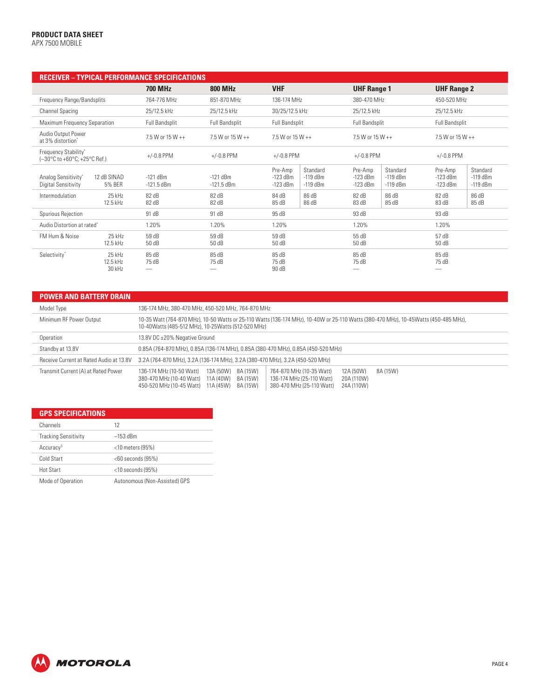## **PRODUCT DATA SHEET**

APX 7500 MOBILE

| <b>RECEIVER - TYPICAL PERFORMANCE SPECIFICATIONS</b>                                 |                            |                            |                                                                             |                                                                             |                                                                             |
|--------------------------------------------------------------------------------------|----------------------------|----------------------------|-----------------------------------------------------------------------------|-----------------------------------------------------------------------------|-----------------------------------------------------------------------------|
|                                                                                      | <b>700 MHz</b>             | <b>800 MHz</b>             | <b>VHF</b>                                                                  | <b>UHF Range 1</b>                                                          | <b>UHF Range 2</b>                                                          |
| Frequency Range/Bandsplits                                                           | 764-776 MHz                | 851-870 MHz                | 136-174 MHz                                                                 | 380-470 MHz                                                                 | 450-520 MHz                                                                 |
| <b>Channel Spacing</b>                                                               | 25/12.5 kHz                | 25/12.5 kHz                | 30/25/12.5 kHz                                                              | 25/12.5 kHz                                                                 | 25/12.5 kHz                                                                 |
| Maximum Frequency Separation                                                         | <b>Full Bandsplit</b>      | <b>Full Bandsplit</b>      | <b>Full Bandsplit</b>                                                       | <b>Full Bandsplit</b>                                                       | <b>Full Bandsplit</b>                                                       |
| Audio Output Power<br>at 3% distortion*                                              | 7.5 W or 15 W ++           | 7.5 W or 15 W ++           | 7.5 W or 15 W ++                                                            | 7.5 W or 15 W ++                                                            | 7.5 W or 15 W ++                                                            |
| Frequency Stability*<br>$(-30^{\circ}$ C to +60 $^{\circ}$ C; +25 $^{\circ}$ C Ref.) | $+/-0.8$ PPM               | $+/-0.8$ PPM               | $+/-0.8$ PPM                                                                | $+/-0.8$ PPM                                                                | $+/-0.8$ PPM                                                                |
| 12 dB SINAD<br>Analog Sensitivity*<br><b>5% BER</b><br>Digital Sensitivity           | $-121$ dBm<br>$-121.5$ dBm | $-121$ dBm<br>$-121.5$ dBm | Pre-Amp<br>Standard<br>$-119$ dBm<br>$-123$ dBm<br>$-119$ dBm<br>$-123$ dBm | Standard<br>Pre-Amp<br>$-119$ dBm<br>$-123$ dBm<br>$-119$ dBm<br>$-123$ dBm | Standard<br>Pre-Amp<br>$-123$ dBm<br>$-119$ dBm<br>$-119$ dBm<br>$-123$ dBm |
| Intermodulation<br>25 kHz<br>12.5 kHz                                                | 82 dB<br>82 dB             | 82 dB<br>82 dB             | 86 dB<br>84 dB<br>86 dB<br>85dB                                             | 86 dB<br>82 dB<br>83 dB<br>85dB                                             | 86 dB<br>82 dB<br>85 dB<br>83 dB                                            |
| Spurious Rejection                                                                   | 91 dB                      | 91 dB                      | 95 dB                                                                       | 93 dB                                                                       | 93 dB                                                                       |
| Audio Distortion at rated"                                                           | 1.20%                      | 1.20%                      | 1.20%                                                                       | 1.20%                                                                       | 1.20%                                                                       |
| FM Hum & Noise<br>25 kHz<br>12.5 kHz                                                 | 59 dB<br>50 dB             | 59 dB<br>50 dB             | 59 dB<br>50 dB                                                              | 55 dB<br>50 dB                                                              | 57 dB<br>50 dB                                                              |
| 25 kHz<br>Selectivity*<br>12.5 kHz<br>30 kHz                                         | 85 dB<br>75 dB             | 85 dB<br>75 dB<br>__       | 85 dB<br>75 dB<br>90 dB                                                     | 85 dB<br>75 dB                                                              | 85dB<br>75 dB                                                               |

| <b>POWER AND BATTERY DRAIN</b>          |                                                                                                                                                                                                                                                                                                     |  |  |
|-----------------------------------------|-----------------------------------------------------------------------------------------------------------------------------------------------------------------------------------------------------------------------------------------------------------------------------------------------------|--|--|
| Model Type                              | 136-174 MHz, 380-470 MHz, 450-520 MHz, 764-870 MHz                                                                                                                                                                                                                                                  |  |  |
| Minimum RF Power Output                 | 10-35 Watt (764-870 MHz), 10-50 Watts or 25-110 Watts (136-174 MHz), 10-40W or 25-110 Watts (380-470 MHz), 10-45Watts (450-485 MHz),<br>10-40 Watts (485-512 MHz), 10-25 Watts (512-520 MHz)                                                                                                        |  |  |
| Operation                               | 13.8V DC ±20% Negative Ground                                                                                                                                                                                                                                                                       |  |  |
| Standby at 13.8V                        | 0.85A (764-870 MHz), 0.85A (136-174 MHz), 0.85A (380-470 MHz), 0.85A (450-520 MHz)                                                                                                                                                                                                                  |  |  |
| Receive Current at Rated Audio at 13.8V | 3.2A (764-870 MHz), 3.2A (136-174 MHz), 3.2A (380-470 MHz), 3.2A (450-520 MHz)                                                                                                                                                                                                                      |  |  |
| Transmit Current (A) at Rated Power     | 13A (50W) 8A (15W)<br>136-174 MHz (10-50 Watt)<br>764-870 MHz (10-35 Watt)<br>12A (50W)<br>8A (15W)<br>380-470 MHz (10-40 Watt)<br>8A (15W)<br>20A (110W)<br>11A (40W)<br>136-174 MHz (25-110 Watt)<br>11A (45W)<br>8A (15W)<br>380-470 MHz (25-110 Watt)<br>24A (110W)<br>450-520 MHz (10-45 Watt) |  |  |

| <b>GPS SPECIFICATIONS</b>   |                               |
|-----------------------------|-------------------------------|
| Channels                    | 12                            |
| <b>Tracking Sensitivity</b> | $-153$ dBm                    |
| Accuracy <sup>5</sup>       | $<$ 10 meters (95%)           |
| Cold Start                  | $<$ 60 seconds (95%)          |
| <b>Hot Start</b>            | $<$ 10 seconds (95%)          |
| Mode of Operation           | Autonomous (Non-Assisted) GPS |